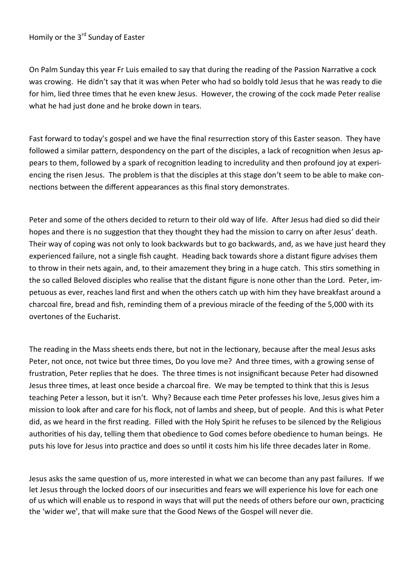# Homily or the 3<sup>rd</sup> Sunday of Easter

On Palm Sunday this year Fr Luis emailed to say that during the reading of the Passion Narrative a cock was crowing. He didn't say that it was when Peter who had so boldly told Jesus that he was ready to die for him, lied three times that he even knew Jesus. However, the crowing of the cock made Peter realise what he had just done and he broke down in tears.

Fast forward to today's gospel and we have the final resurrection story of this Easter season. They have followed a similar pattern, despondency on the part of the disciples, a lack of recognition when Jesus appears to them, followed by a spark of recognition leading to incredulity and then profound joy at experiencing the risen Jesus. The problem is that the disciples at this stage don't seem to be able to make connections between the different appearances as this final story demonstrates.

Peter and some of the others decided to return to their old way of life. After Jesus had died so did their hopes and there is no suggestion that they thought they had the mission to carry on after Jesus' death. Their way of coping was not only to look backwards but to go backwards, and, as we have just heard they experienced failure, not a single fish caught. Heading back towards shore a distant figure advises them to throw in their nets again, and, to their amazement they bring in a huge catch. This stirs something in the so called Beloved disciples who realise that the distant figure is none other than the Lord. Peter, impetuous as ever, reaches land first and when the others catch up with him they have breakfast around a charcoal fire, bread and fish, reminding them of a previous miracle of the feeding of the 5,000 with its overtones of the Eucharist.

The reading in the Mass sheets ends there, but not in the lectionary, because after the meal Jesus asks Peter, not once, not twice but three times, Do you love me? And three times, with a growing sense of frustration, Peter replies that he does. The three times is not insignificant because Peter had disowned Jesus three times, at least once beside a charcoal fire. We may be tempted to think that this is Jesus teaching Peter a lesson, but it isn't. Why? Because each time Peter professes his love, Jesus gives him a mission to look after and care for his flock, not of lambs and sheep, but of people. And this is what Peter did, as we heard in the first reading. Filled with the Holy Spirit he refuses to be silenced by the Religious authorities of his day, telling them that obedience to God comes before obedience to human beings. He puts his love for Jesus into practice and does so until it costs him his life three decades later in Rome.

Jesus asks the same question of us, more interested in what we can become than any past failures. If we let Jesus through the locked doors of our insecurities and fears we will experience his love for each one of us which will enable us to respond in ways that will put the needs of others before our own, practicing the 'wider we', that will make sure that the Good News of the Gospel will never die.